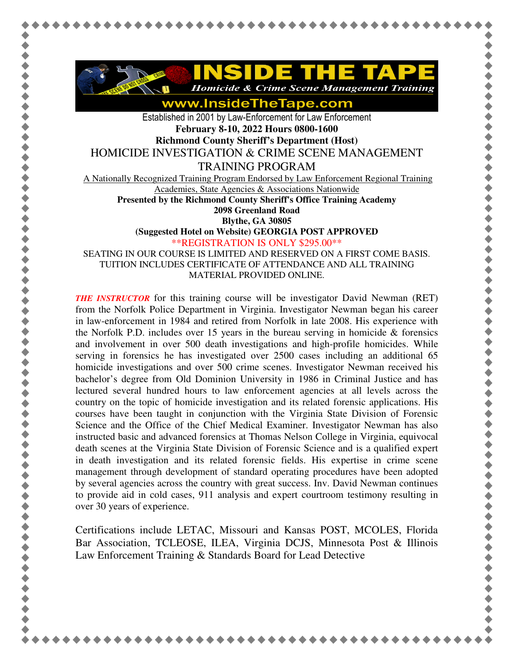

www.InsideTheTape.com

Established in 2001 by Law-Enforcement for Law Enforcement **February 8-10, 2022 Hours 0800-1600 Richmond County Sheriff's Department (Host)** 

HOMICIDE INVESTIGATION & CRIME SCENE MANAGEMENT

TRAINING PROGRAM

A Nationally Recognized Training Program Endorsed by Law Enforcement Regional Training Academies, State Agencies & Associations Nationwide

**Presented by the Richmond County Sheriff's Office Training Academy** 

**2098 Greenland Road** 

**Blythe, GA 30805** 

**(Suggested Hotel on Website) GEORGIA POST APPROVED**

\*\*REGISTRATION IS ONLY \$295.00\*\*

SEATING IN OUR COURSE IS LIMITED AND RESERVED ON A FIRST COME BASIS. TUITION INCLUDES CERTIFICATE OF ATTENDANCE AND ALL TRAINING MATERIAL PROVIDED ONLINE.

*THE INSTRUCTOR* for this training course will be investigator David Newman (RET) from the Norfolk Police Department in Virginia. Investigator Newman began his career in law-enforcement in 1984 and retired from Norfolk in late 2008. His experience with the Norfolk P.D. includes over 15 years in the bureau serving in homicide  $\&$  forensics and involvement in over 500 death investigations and high-profile homicides. While serving in forensics he has investigated over 2500 cases including an additional 65 homicide investigations and over 500 crime scenes. Investigator Newman received his bachelor's degree from Old Dominion University in 1986 in Criminal Justice and has lectured several hundred hours to law enforcement agencies at all levels across the country on the topic of homicide investigation and its related forensic applications. His courses have been taught in conjunction with the Virginia State Division of Forensic Science and the Office of the Chief Medical Examiner. Investigator Newman has also instructed basic and advanced forensics at Thomas Nelson College in Virginia, equivocal death scenes at the Virginia State Division of Forensic Science and is a qualified expert in death investigation and its related forensic fields. His expertise in crime scene management through development of standard operating procedures have been adopted by several agencies across the country with great success. Inv. David Newman continues to provide aid in cold cases, 911 analysis and expert courtroom testimony resulting in over 30 years of experience.

Certifications include LETAC, Missouri and Kansas POST, MCOLES, Florida Bar Association, TCLEOSE, ILEA, Virginia DCJS, Minnesota Post & Illinois Law Enforcement Training & Standards Board for Lead Detective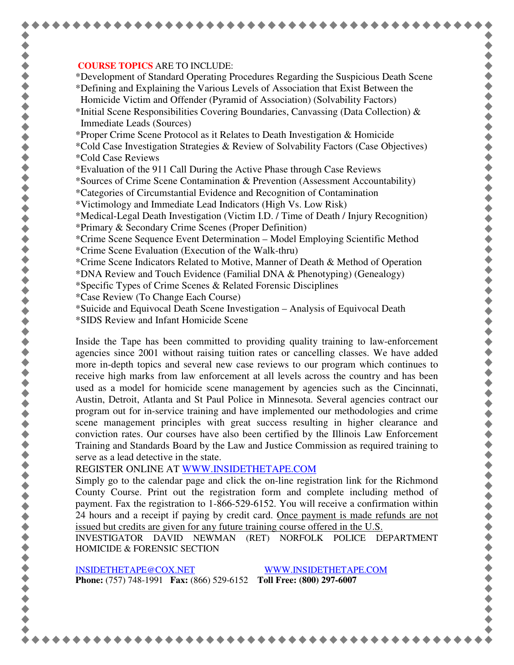## **COURSE TOPICS** ARE TO INCLUDE:

\*Development of Standard Operating Procedures Regarding the Suspicious Death Scene \*Defining and Explaining the Various Levels of Association that Exist Between the Homicide Victim and Offender (Pyramid of Association) (Solvability Factors)

\*Initial Scene Responsibilities Covering Boundaries, Canvassing (Data Collection)  $\&$ Immediate Leads (Sources)

\*Proper Crime Scene Protocol as it Relates to Death Investigation & Homicide

- \*Cold Case Investigation Strategies & Review of Solvability Factors (Case Objectives) \*Cold Case Reviews
- \*Evaluation of the 911 Call During the Active Phase through Case Reviews

\*Sources of Crime Scene Contamination & Prevention (Assessment Accountability)

- \*Categories of Circumstantial Evidence and Recognition of Contamination
- \*Victimology and Immediate Lead Indicators (High Vs. Low Risk)

\*Medical-Legal Death Investigation (Victim I.D. / Time of Death / Injury Recognition)

- \*Primary & Secondary Crime Scenes (Proper Definition)
- \*Crime Scene Sequence Event Determination Model Employing Scientific Method \*Crime Scene Evaluation (Execution of the Walk-thru)
- \*Crime Scene Indicators Related to Motive, Manner of Death & Method of Operation

\*DNA Review and Touch Evidence (Familial DNA & Phenotyping) (Genealogy)

- \*Specific Types of Crime Scenes & Related Forensic Disciplines
- \*Case Review (To Change Each Course)
- \*Suicide and Equivocal Death Scene Investigation Analysis of Equivocal Death
- \*SIDS Review and Infant Homicide Scene

Inside the Tape has been committed to providing quality training to law-enforcement agencies since 2001 without raising tuition rates or cancelling classes. We have added more in-depth topics and several new case reviews to our program which continues to receive high marks from law enforcement at all levels across the country and has been used as a model for homicide scene management by agencies such as the Cincinnati, Austin, Detroit, Atlanta and St Paul Police in Minnesota. Several agencies contract our program out for in-service training and have implemented our methodologies and crime scene management principles with great success resulting in higher clearance and conviction rates. Our courses have also been certified by the Illinois Law Enforcement Training and Standards Board by the Law and Justice Commission as required training to serve as a lead detective in the state.

REGISTER ONLINE AT WWW.INSIDETHETAPE.COM

Simply go to the calendar page and click the on-line registration link for the Richmond County Course. Print out the registration form and complete including method of payment. Fax the registration to 1-866-529-6152. You will receive a confirmation within 24 hours and a receipt if paying by credit card. Once payment is made refunds are not issued but credits are given for any future training course offered in the U.S.

INVESTIGATOR DAVID NEWMAN (RET) NORFOLK POLICE DEPARTMENT HOMICIDE & FORENSIC SECTION

INSIDETHETAPE@COX.NET WWW.INSIDETHETAPE.COM **Phone:** (757) 748-1991 **Fax:** (866) 529-6152 **Toll Free: (800) 297-6007**